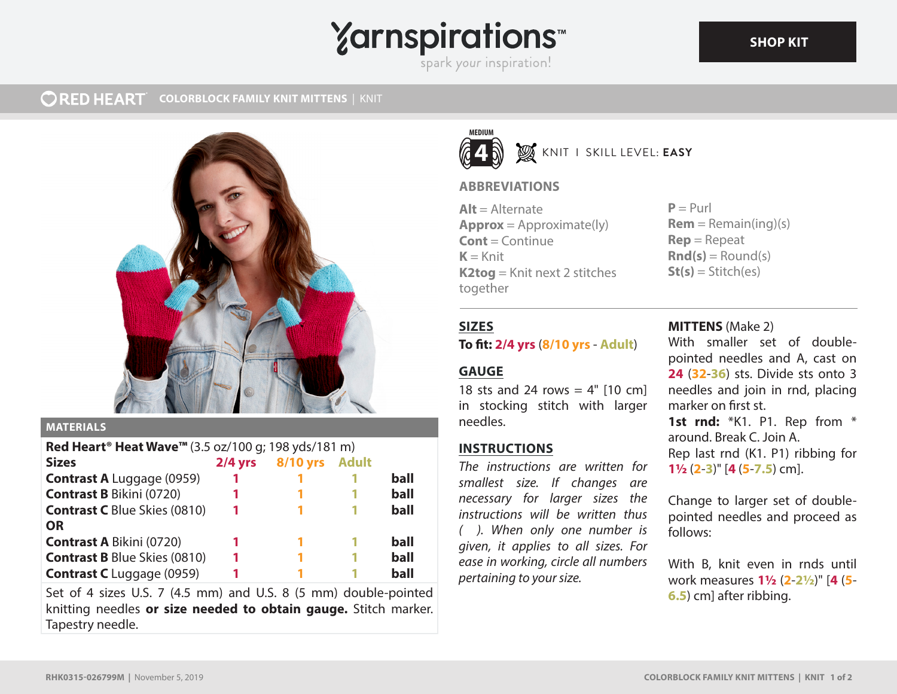# **Yarnspirations**

spark your inspiration!

#### **ORED HEART COLORBLOCK FAMILY KNIT MITTENS** | KNIT



### **MATERIALS**

| Red Heart <sup>®</sup> Heat Wave <sup>™</sup> (3.5 oz/100 g; 198 yds/181 m) |           |                 |              |      |
|-----------------------------------------------------------------------------|-----------|-----------------|--------------|------|
| <b>Sizes</b>                                                                | $2/4$ yrs | <b>8/10 yrs</b> | <b>Adult</b> |      |
| <b>Contrast A</b> Luggage (0959)                                            |           |                 |              | ball |
| <b>Contrast B Bikini (0720)</b>                                             |           |                 |              | ball |
| <b>Contrast C</b> Blue Skies (0810)                                         |           |                 |              | ball |
| <b>OR</b>                                                                   |           |                 |              |      |
| <b>Contrast A Bikini (0720)</b>                                             |           |                 |              | ball |
| <b>Contrast B Blue Skies (0810)</b>                                         |           |                 |              | ball |
| <b>Contrast C</b> Luggage (0959)                                            |           |                 |              | ball |

Set of 4 sizes U.S. 7 (4.5 mm) and U.S. 8 (5 mm) double-pointed knitting needles **or size needed to obtain gauge.** Stitch marker. Tapestry needle.



# KNIT I SKILL LEVEL: **EASY**

# **ABBREVIATIONS**

 $Alt = Alternate$ **Approx** = Approximate(ly) **Cont** = Continue  $K =$ Knit **K2tog** = Knit next 2 stitches together

 $P = Purl$  $Rem = Remain(ing)(s)$ **Rep** = Repeat  $\mathbf{Rnd}(s) = \text{Round}(s)$  $St(s) = Stitch(es)$ 

# **SIZES**

### **To fit: 2/4 yrs** (**8/10 yrs** - **Adult**)

# **GAUGE**

18 sts and 24 rows =  $4"$  [10 cm] in stocking stitch with larger needles.

# **INSTRUCTIONS**

*The instructions are written for smallest size. If changes are necessary for larger sizes the instructions will be written thus ( ). When only one number is given, it applies to all sizes. For ease in working, circle all numbers pertaining to your size.*

# **MITTENS** (Make 2)

With smaller set of doublepointed needles and A, cast on **24** (**32**-**36**) sts. Divide sts onto 3 needles and join in rnd, placing marker on first st.

**1st rnd:** \*K1. P1. Rep from \* around. Break C. Join A. Rep last rnd (K1. P1) ribbing for **1½** (**2**-**3**)" [**4** (**5**-**7.5**) cm].

Change to larger set of doublepointed needles and proceed as follows:

With B, knit even in rnds until work measures **1½** (**2**-**2½**)" [**4** (**5**- **6.5**) cm] after ribbing.